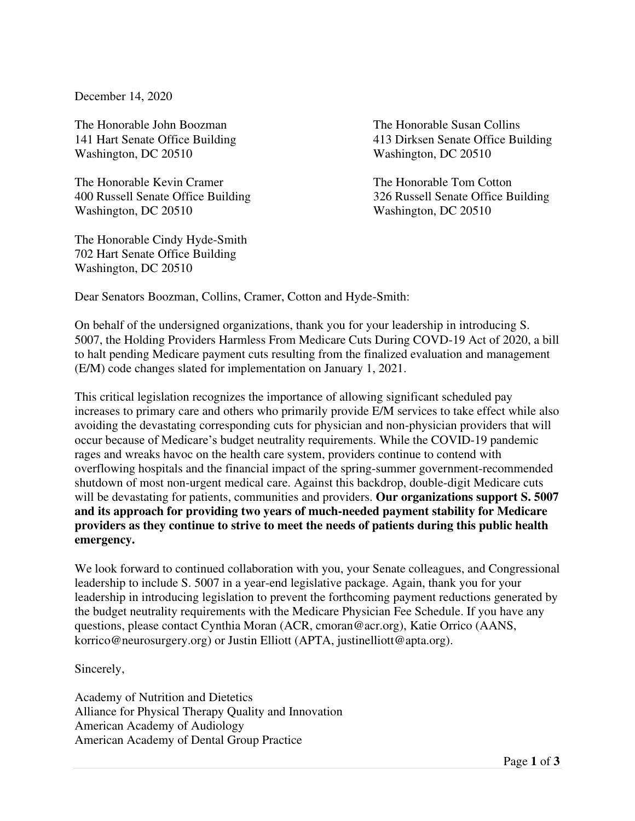December 14, 2020

The Honorable John Boozman The Honorable Susan Collins Washington, DC 20510 Washington, DC 20510

The Honorable Kevin Cramer The Honorable Tom Cotton Washington, DC 20510 Washington, DC 20510

The Honorable Cindy Hyde-Smith 702 Hart Senate Office Building Washington, DC 20510

141 Hart Senate Office Building 413 Dirksen Senate Office Building

400 Russell Senate Office Building 326 Russell Senate Office Building

Dear Senators Boozman, Collins, Cramer, Cotton and Hyde-Smith:

On behalf of the undersigned organizations, thank you for your leadership in introducing S. 5007, the Holding Providers Harmless From Medicare Cuts During COVD-19 Act of 2020, a bill to halt pending Medicare payment cuts resulting from the finalized evaluation and management (E/M) code changes slated for implementation on January 1, 2021.

This critical legislation recognizes the importance of allowing significant scheduled pay increases to primary care and others who primarily provide E/M services to take effect while also avoiding the devastating corresponding cuts for physician and non-physician providers that will occur because of Medicare's budget neutrality requirements. While the COVID-19 pandemic rages and wreaks havoc on the health care system, providers continue to contend with overflowing hospitals and the financial impact of the spring-summer government-recommended shutdown of most non-urgent medical care. Against this backdrop, double-digit Medicare cuts will be devastating for patients, communities and providers. **Our organizations support S. 5007 and its approach for providing two years of much-needed payment stability for Medicare providers as they continue to strive to meet the needs of patients during this public health emergency.**

We look forward to continued collaboration with you, your Senate colleagues, and Congressional leadership to include S. 5007 in a year-end legislative package. Again, thank you for your leadership in introducing legislation to prevent the forthcoming payment reductions generated by the budget neutrality requirements with the Medicare Physician Fee Schedule. If you have any questions, please contact Cynthia Moran (ACR, cmoran@acr.org), Katie Orrico (AANS, korrico@neurosurgery.org) or Justin Elliott (APTA, justinelliott@apta.org).

Sincerely,

Academy of Nutrition and Dietetics Alliance for Physical Therapy Quality and Innovation American Academy of Audiology American Academy of Dental Group Practice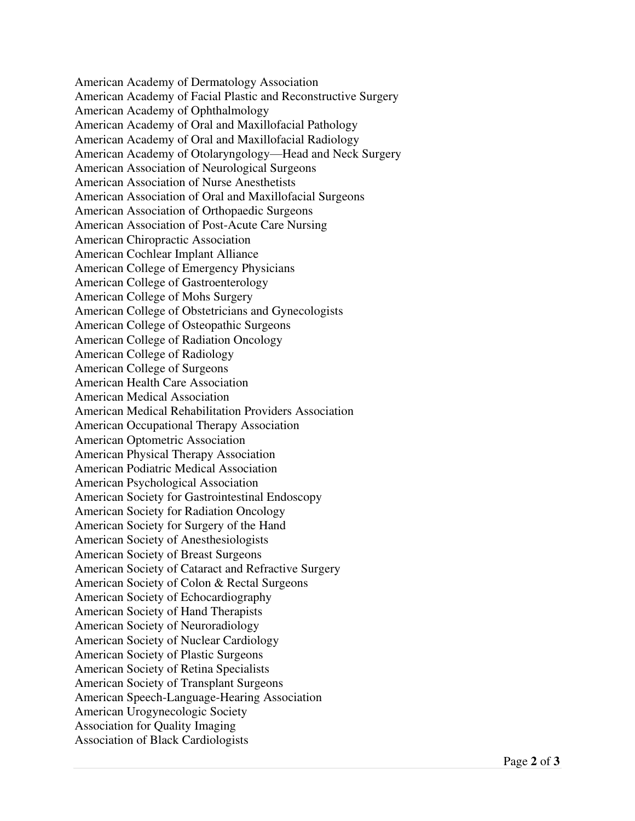American Academy of Dermatology Association American Academy of Facial Plastic and Reconstructive Surgery American Academy of Ophthalmology American Academy of Oral and Maxillofacial Pathology American Academy of Oral and Maxillofacial Radiology American Academy of Otolaryngology—Head and Neck Surgery American Association of Neurological Surgeons American Association of Nurse Anesthetists American Association of Oral and Maxillofacial Surgeons American Association of Orthopaedic Surgeons American Association of Post-Acute Care Nursing American Chiropractic Association American Cochlear Implant Alliance American College of Emergency Physicians American College of Gastroenterology American College of Mohs Surgery American College of Obstetricians and Gynecologists American College of Osteopathic Surgeons American College of Radiation Oncology American College of Radiology American College of Surgeons American Health Care Association American Medical Association American Medical Rehabilitation Providers Association American Occupational Therapy Association American Optometric Association American Physical Therapy Association American Podiatric Medical Association American Psychological Association American Society for Gastrointestinal Endoscopy American Society for Radiation Oncology American Society for Surgery of the Hand American Society of Anesthesiologists American Society of Breast Surgeons American Society of Cataract and Refractive Surgery American Society of Colon & Rectal Surgeons American Society of Echocardiography American Society of Hand Therapists American Society of Neuroradiology American Society of Nuclear Cardiology American Society of Plastic Surgeons American Society of Retina Specialists American Society of Transplant Surgeons American Speech-Language-Hearing Association American Urogynecologic Society Association for Quality Imaging Association of Black Cardiologists